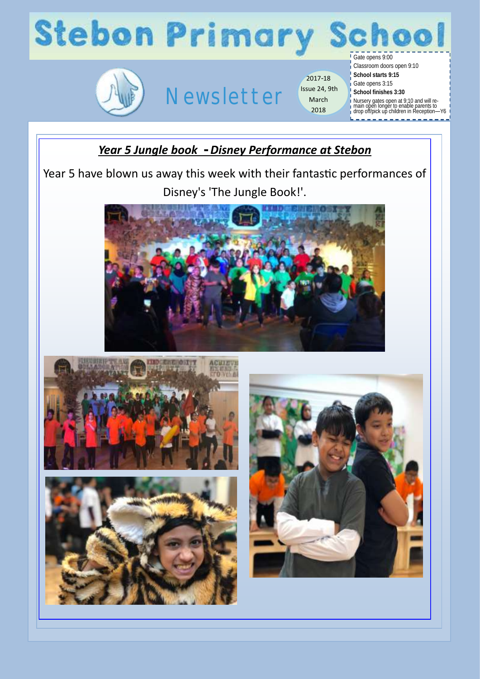



## Newsletter

2017-18 Issue 24, 9th March 2018

Classroom doors open 9:10 **School starts 9:15** Gate opens 3:15

**School finishes 3:30**

Nursery gates open at 9:10 and will re-main open longer to enable parents to drop off/pick up children in Reception—Y6

### *Year 5 Jungle book - Disney Performance at Stebon*

Year 5 have blown us away this week with their fantastic performances of Disney's 'The Jungle Book!'.







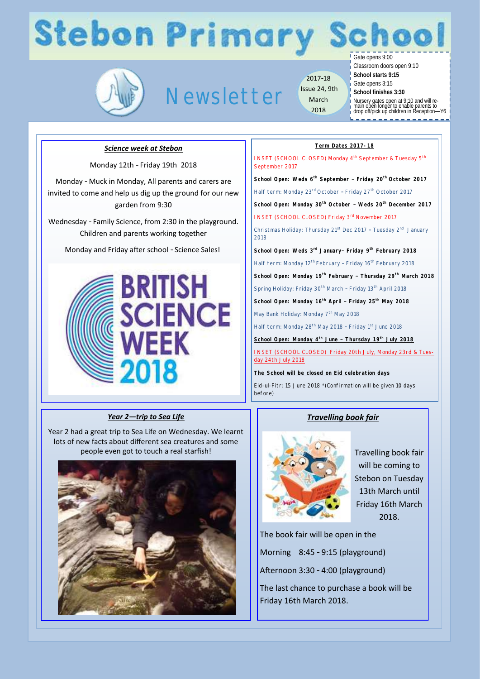## **Stebon Primary School**



Newsletter

2017-18 Issue 24, 9th March 2018

Gate opens 9:00

Classroom doors open 9:10

- **School starts 9:15**
- Gate opens 3:15 **School finishes 3:30**
	-

Nursery gates open at 9:10 and will re-main open longer to enable parents to drop off/pick up children in Reception—Y6

#### *Science week at Stebon*

Monday 12th - Friday 19th 2018

Monday - Muck in Monday, All parents and carers are invited to come and help us dig up the ground for our new garden from 9:30

Wednesday - Family Science, from 2:30 in the playground. Children and parents working together

Monday and Friday after school - Science Sales!



#### *Year 2—trip to Sea Life*

Year 2 had a great trip to Sea Life on Wednesday. We learnt lots of new facts about different sea creatures and some people even got to touch a real starfish!



#### **Term Dates 2017-18**

INSET (SCHOOL CLOSED) Monday 4<sup>th</sup> September & Tuesday 5<sup>th</sup> September 2017 **School Open: Weds 6th September – Friday 20th October 2017** Half term: Monday 23<sup>rd</sup> October - Friday 27<sup>th</sup> October 2017 **School Open: Monday 30th October – Weds 20th December 2017**  INSET (SCHOOL CLOSED) Friday 3rd November 2017 Christmas Holiday: Thursday 21<sup>st</sup> Dec 2017 - Tuesday 2<sup>nd</sup> January 2018 **School Open: Weds 3rd January– Friday 9th February 2018** Half term: Monday 12<sup>th</sup> February - Friday 16<sup>th</sup> February 2018 **School Open: Monday 19th February – Thursday 29th March 2018** Spring Holiday: Friday 30<sup>th</sup> March - Friday 13<sup>th</sup> April 2018 **School Open: Monday 16th April – Friday 25th May 2018** May Bank Holiday: Monday 7<sup>th</sup> May 2018 Half term: Monday 28<sup>th</sup> May 2018 - Friday 1<sup>st</sup> June 2018 **School Open: Monday 4th June – Thursday 19th July 2018** INSET (SCHOOL CLOSED) Friday 20th July, Monday 23rd & Tuesday 24th July 2018

**The School will be closed on Eid celebration days**

Eid-ul-Fitr: 15 June 2018 \*(Confirmation will be given 10 days before)

#### *Travelling book fair*



Travelling book fair will be coming to Stebon on Tuesday 13th March until Friday 16th March 2018.

The book fair will be open in the Morning 8:45 - 9:15 (playground) Afternoon 3:30 - 4:00 (playground) The last chance to purchase a book will be Friday 16th March 2018.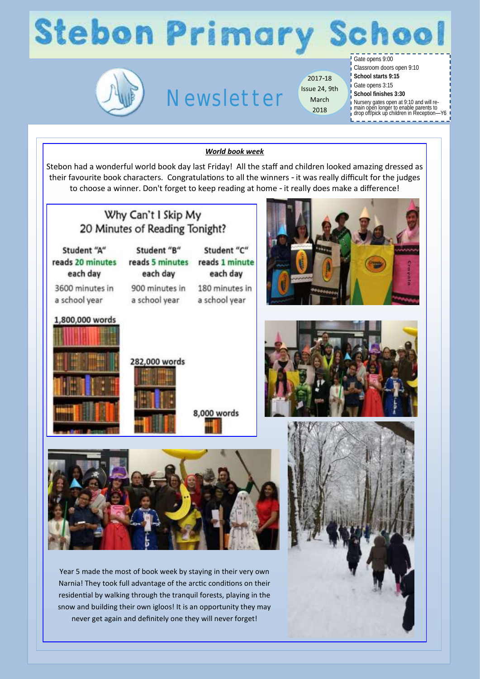# **Stebon Primary School**



### Newsletter

2017-18 Issue 24, 9th March 2018

### Gate opens 9:00

Classroom doors open 9:10 **School starts 9:15** Gate opens 3:15 **School finishes 3:30** Nursery gates open at 9:10 and will re-main open longer to enable parents to drop off/pick up children in Reception—Y6

#### *World book week*

Stebon had a wonderful world book day last Friday! All the staff and children looked amazing dressed as their favourite book characters. Congratulations to all the winners - it was really difficult for the judges to choose a winner. Don't forget to keep reading at home - it really does make a difference!



Year 5 made the most of book week by staying in their very own Narnia! They took full advantage of the arctic conditions on their residential by walking through the tranquil forests, playing in the snow and building their own igloos! It is an opportunity they may never get again and definitely one they will never forget!